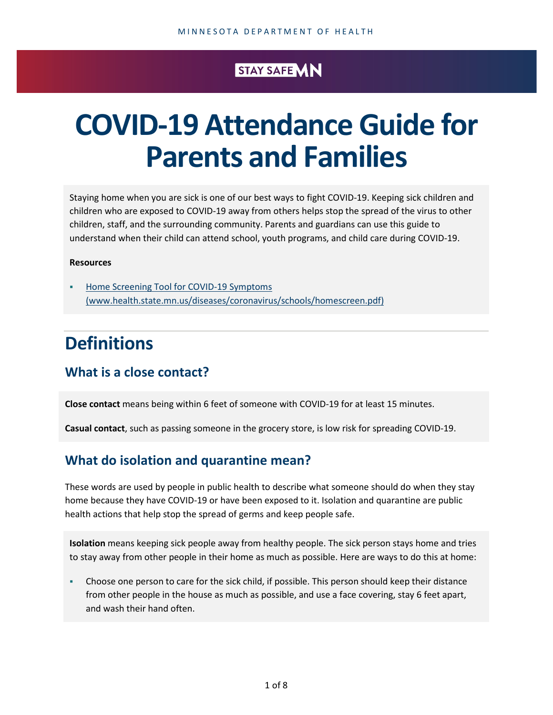## STAY SAFE VIN

# **COVID-19 Attendance Guide for Parents and Families**

Staying home when you are sick is one of our best ways to fight COVID-19. Keeping sick children and children who are exposed to COVID-19 away from others helps stop the spread of the virus to other children, staff, and the surrounding community. Parents and guardians can use this guide to understand when their child can attend school, youth programs, and child care during COVID-19.

#### **Resources**

**Home Screening Tool for COVID-19 Symptoms** [\(www.health.state.mn.us/diseases/coronavirus/schools/homescreen.pdf\)](https://www.health.state.mn.us/diseases/coronavirus/schools/homescreen.pdf) 

# **Definitions**

#### **What is a close contact?**

**Close contact** means being within 6 feet of someone with COVID-19 for at least 15 minutes.

**Casual contact**, such as passing someone in the grocery store, is low risk for spreading COVID-19.

#### **What do isolation and quarantine mean?**

These words are used by people in public health to describe what someone should do when they stay home because they have COVID-19 or have been exposed to it. Isolation and quarantine are public health actions that help stop the spread of germs and keep people safe.

**Isolation** means keeping sick people away from healthy people. The sick person stays home and tries to stay away from other people in their home as much as possible. Here are ways to do this at home:

 Choose one person to care for the sick child, if possible. This person should keep their distance from other people in the house as much as possible, and use a face covering, stay 6 feet apart, and wash their hand often.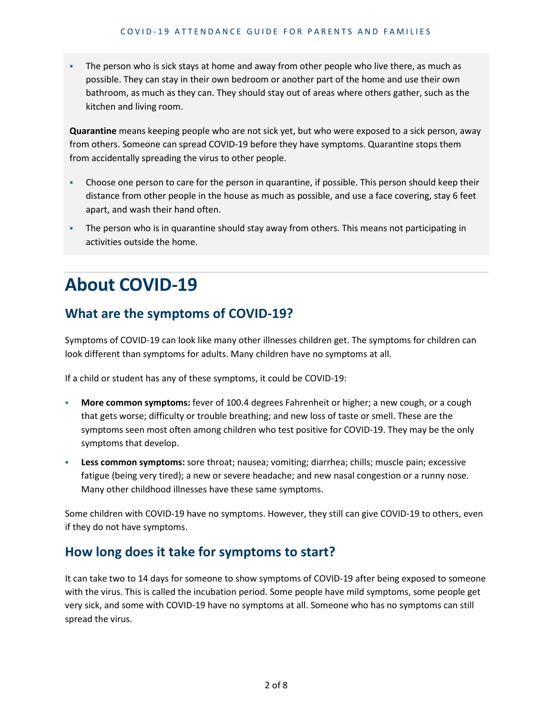The person who is sick stays at home and away from other people who live there, as much as possible. They can stay in their own bedroom or another part of the home and use their own bathroom, as much as they can. They should stay out of areas where others gather, such as the kitchen and living room.

**Quarantine** means keeping people who are not sick yet, but who were exposed to a sick person, away from others. Someone can spread COVID-19 before they have symptoms. Quarantine stops them from accidentally spreading the virus to other people.

- Choose one person to care for the person in quarantine, if possible. This person should keep their distance from other people in the house as much as possible, and use a face covering, stay 6 feet apart, and wash their hand often.
- The person who is in quarantine should stay away from others. This means not participating in activities outside the home.

# **About COVID-19**

## **What are the symptoms of COVID-19?**

Symptoms of COVID-19 can look like many other illnesses children get. The symptoms for children can look different than symptoms for adults. Many children have no symptoms at all.

If a child or student has any of these symptoms, it could be COVID-19:

- **More common symptoms:** fever of 100.4 degrees Fahrenheit or higher; a new cough, or a cough that gets worse; difficulty or trouble breathing; and new loss of taste or smell. These are the symptoms seen most often among children who test positive for COVID-19. They may be the only symptoms that develop.
- **Less common symptoms:** sore throat; nausea; vomiting; diarrhea; chills; muscle pain; excessive fatigue (being very tired); a new or severe headache; and new nasal congestion or a runny nose. Many other childhood illnesses have these same symptoms.

Some children with COVID-19 have no symptoms. However, they still can give COVID-19 to others, even if they do not have symptoms.

#### **How long does it take for symptoms to start?**

It can take two to 14 days for someone to show symptoms of COVID-19 after being exposed to someone with the virus. This is called the incubation period. Some people have mild symptoms, some people get very sick, and some with COVID-19 have no symptoms at all. Someone who has no symptoms can still spread the virus.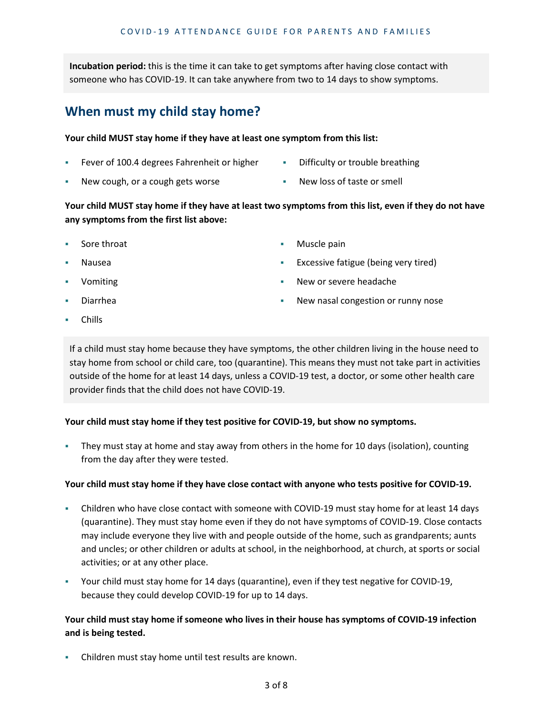**Incubation period:** this is the time it can take to get symptoms after having close contact with someone who has COVID-19. It can take anywhere from two to 14 days to show symptoms.

## **When must my child stay home?**

#### **Your child MUST stay home if they have at least one symptom from this list:**

- Fever of 100.4 degrees Fahrenheit or higher
- **•** Difficulty or trouble breathing
- New cough, or a cough gets worse
- New loss of taste or smell

**Your child MUST stay home if they have at least two symptoms from this list, even if they do not have any symptoms from the first list above:**

- Sore throat
- Nausea
- Vomiting
- Diarrhea
- Muscle pain
- Excessive fatigue (being very tired)
- New or severe headache
- New nasal congestion or runny nose

Chills

If a child must stay home because they have symptoms, the other children living in the house need to stay home from school or child care, too (quarantine). This means they must not take part in activities outside of the home for at least 14 days, unless a COVID-19 test, a doctor, or some other health care provider finds that the child does not have COVID-19.

#### **Your child must stay home if they test positive for COVID-19, but show no symptoms.**

 They must stay at home and stay away from others in the home for 10 days (isolation), counting from the day after they were tested.

#### **Your child must stay home if they have close contact with anyone who tests positive for COVID-19.**

- Children who have close contact with someone with COVID-19 must stay home for at least 14 days (quarantine). They must stay home even if they do not have symptoms of COVID-19. Close contacts may include everyone they live with and people outside of the home, such as grandparents; aunts and uncles; or other children or adults at school, in the neighborhood, at church, at sports or social activities; or at any other place.
- Your child must stay home for 14 days (quarantine), even if they test negative for COVID-19, because they could develop COVID-19 for up to 14 days.

#### **Your child must stay home if someone who lives in their house has symptoms of COVID-19 infection and is being tested.**

Children must stay home until test results are known.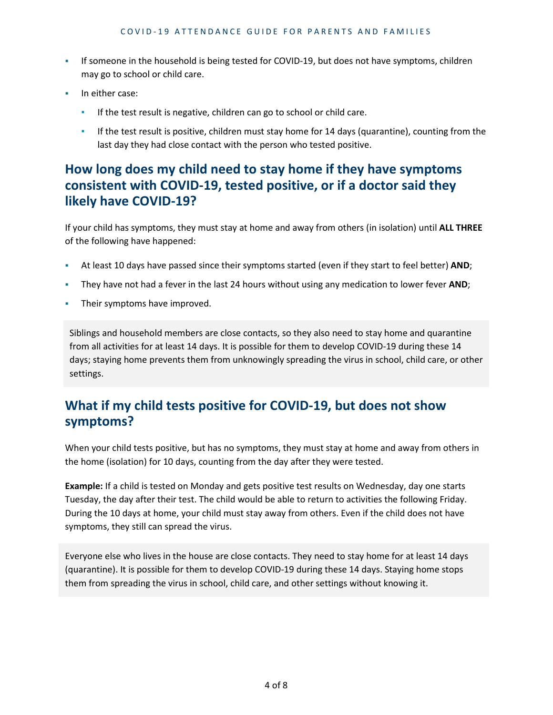- If someone in the household is being tested for COVID-19, but does not have symptoms, children may go to school or child care.
- In either case:
	- If the test result is negative, children can go to school or child care.
	- **EXED 15 If the test result is positive, children must stay home for 14 days (quarantine), counting from the** last day they had close contact with the person who tested positive.

## **How long does my child need to stay home if they have symptoms consistent with COVID-19, tested positive, or if a doctor said they likely have COVID-19?**

If your child has symptoms, they must stay at home and away from others (in isolation) until **ALL THREE** of the following have happened:

- At least 10 days have passed since their symptoms started (even if they start to feel better) **AND**;
- They have not had a fever in the last 24 hours without using any medication to lower fever **AND**;
- Their symptoms have improved.

Siblings and household members are close contacts, so they also need to stay home and quarantine from all activities for at least 14 days. It is possible for them to develop COVID-19 during these 14 days; staying home prevents them from unknowingly spreading the virus in school, child care, or other settings.

## **What if my child tests positive for COVID-19, but does not show symptoms?**

When your child tests positive, but has no symptoms, they must stay at home and away from others in the home (isolation) for 10 days, counting from the day after they were tested.

**Example:** If a child is tested on Monday and gets positive test results on Wednesday, day one starts Tuesday, the day after their test. The child would be able to return to activities the following Friday. During the 10 days at home, your child must stay away from others. Even if the child does not have symptoms, they still can spread the virus.

Everyone else who lives in the house are close contacts. They need to stay home for at least 14 days (quarantine). It is possible for them to develop COVID-19 during these 14 days. Staying home stops them from spreading the virus in school, child care, and other settings without knowing it.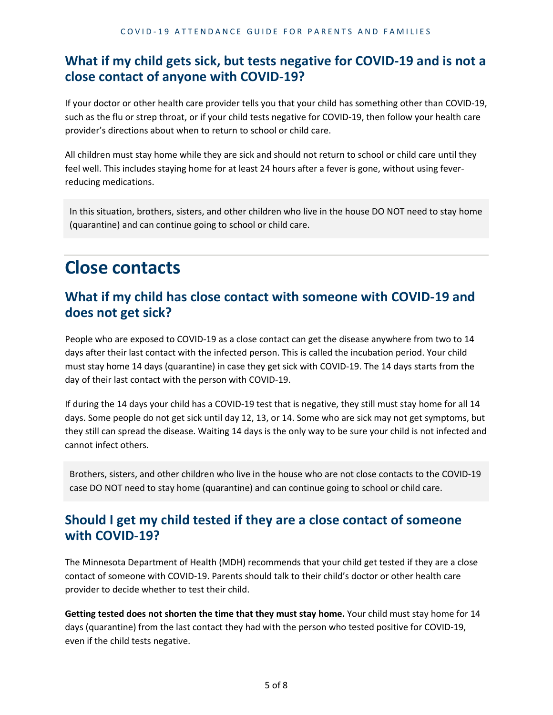#### **What if my child gets sick, but tests negative for COVID-19 and is not a close contact of anyone with COVID-19?**

If your doctor or other health care provider tells you that your child has something other than COVID-19, such as the flu or strep throat, or if your child tests negative for COVID-19, then follow your health care provider's directions about when to return to school or child care.

All children must stay home while they are sick and should not return to school or child care until they feel well. This includes staying home for at least 24 hours after a fever is gone, without using feverreducing medications.

In this situation, brothers, sisters, and other children who live in the house DO NOT need to stay home (quarantine) and can continue going to school or child care.

# **Close contacts**

#### **What if my child has close contact with someone with COVID-19 and does not get sick?**

People who are exposed to COVID-19 as a close contact can get the disease anywhere from two to 14 days after their last contact with the infected person. This is called the incubation period. Your child must stay home 14 days (quarantine) in case they get sick with COVID-19. The 14 days starts from the day of their last contact with the person with COVID-19.

If during the 14 days your child has a COVID-19 test that is negative, they still must stay home for all 14 days. Some people do not get sick until day 12, 13, or 14. Some who are sick may not get symptoms, but they still can spread the disease. Waiting 14 days is the only way to be sure your child is not infected and cannot infect others.

Brothers, sisters, and other children who live in the house who are not close contacts to the COVID-19 case DO NOT need to stay home (quarantine) and can continue going to school or child care.

#### **Should I get my child tested if they are a close contact of someone with COVID-19?**

The Minnesota Department of Health (MDH) recommends that your child get tested if they are a close contact of someone with COVID-19. Parents should talk to their child's doctor or other health care provider to decide whether to test their child.

**Getting tested does not shorten the time that they must stay home.** Your child must stay home for 14 days (quarantine) from the last contact they had with the person who tested positive for COVID-19, even if the child tests negative.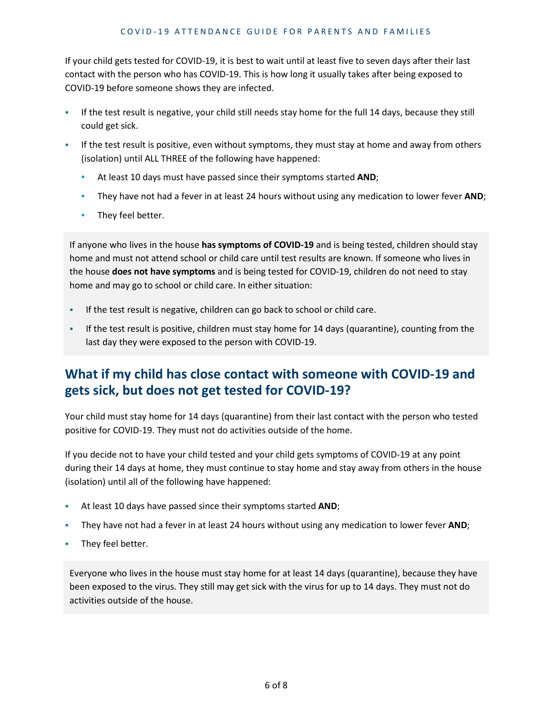If your child gets tested for COVID-19, it is best to wait until at least five to seven days after their last contact with the person who has COVID-19. This is how long it usually takes after being exposed to COVID-19 before someone shows they are infected.

- If the test result is negative, your child still needs stay home for the full 14 days, because they still could get sick.
- If the test result is positive, even without symptoms, they must stay at home and away from others (isolation) until ALL THREE of the following have happened:
	- At least 10 days must have passed since their symptoms started **AND**;
	- They have not had a fever in at least 24 hours without using any medication to lower fever **AND**;
	- **·** They feel better.

If anyone who lives in the house **has symptoms of COVID-19** and is being tested, children should stay home and must not attend school or child care until test results are known. If someone who lives in the house **does not have symptoms** and is being tested for COVID-19, children do not need to stay home and may go to school or child care. In either situation:

- If the test result is negative, children can go back to school or child care.
- If the test result is positive, children must stay home for 14 days (quarantine), counting from the last day they were exposed to the person with COVID-19.

#### **What if my child has close contact with someone with COVID-19 and gets sick, but does not get tested for COVID-19?**

Your child must stay home for 14 days (quarantine) from their last contact with the person who tested positive for COVID-19. They must not do activities outside of the home.

If you decide not to have your child tested and your child gets symptoms of COVID-19 at any point during their 14 days at home, they must continue to stay home and stay away from others in the house (isolation) until all of the following have happened:

- At least 10 days have passed since their symptoms started **AND**;
- They have not had a fever in at least 24 hours without using any medication to lower fever **AND**;
- They feel better.

Everyone who lives in the house must stay home for at least 14 days (quarantine), because they have been exposed to the virus. They still may get sick with the virus for up to 14 days. They must not do activities outside of the house.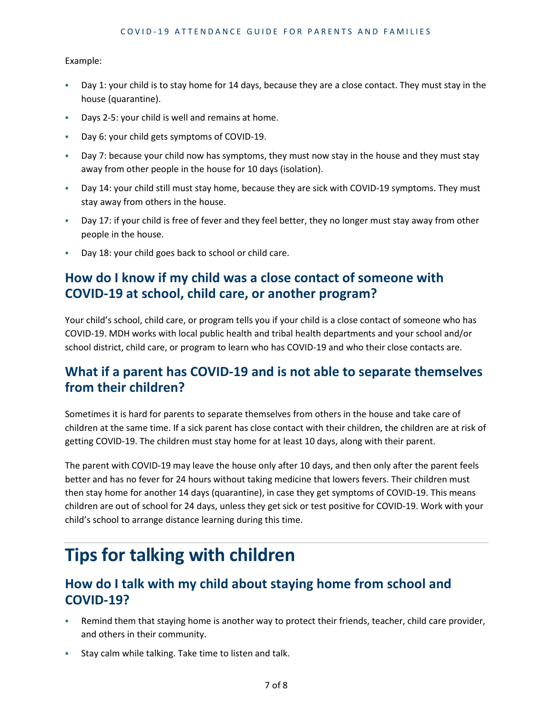Example:

- Day 1: your child is to stay home for 14 days, because they are a close contact. They must stay in the house (quarantine).
- Days 2-5: your child is well and remains at home.
- Day 6: your child gets symptoms of COVID-19.
- Day 7: because your child now has symptoms, they must now stay in the house and they must stay away from other people in the house for 10 days (isolation).
- Day 14: your child still must stay home, because they are sick with COVID-19 symptoms. They must stay away from others in the house.
- Day 17: if your child is free of fever and they feel better, they no longer must stay away from other people in the house.
- Day 18: your child goes back to school or child care.

#### **How do I know if my child was a close contact of someone with COVID-19 at school, child care, or another program?**

Your child's school, child care, or program tells you if your child is a close contact of someone who has COVID-19. MDH works with local public health and tribal health departments and your school and/or school district, child care, or program to learn who has COVID-19 and who their close contacts are.

#### **What if a parent has COVID-19 and is not able to separate themselves from their children?**

Sometimes it is hard for parents to separate themselves from others in the house and take care of children at the same time. If a sick parent has close contact with their children, the children are at risk of getting COVID-19. The children must stay home for at least 10 days, along with their parent.

The parent with COVID-19 may leave the house only after 10 days, and then only after the parent feels better and has no fever for 24 hours without taking medicine that lowers fevers. Their children must then stay home for another 14 days (quarantine), in case they get symptoms of COVID-19. This means children are out of school for 24 days, unless they get sick or test positive for COVID-19. Work with your child's school to arrange distance learning during this time.

# **Tips for talking with children**

#### **How do I talk with my child about staying home from school and COVID-19?**

- Remind them that staying home is another way to protect their friends, teacher, child care provider, and others in their community.
- Stay calm while talking. Take time to listen and talk.